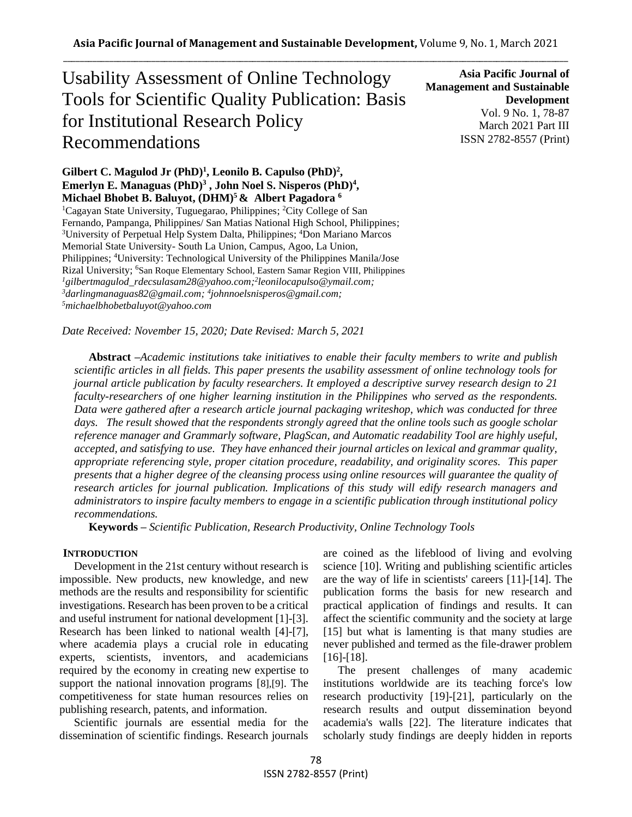# Usability Assessment of Online Technology Tools for Scientific Quality Publication: Basis for Institutional Research Policy Recommendations

**Asia Pacific Journal of Management and Sustainable Development**  Vol. 9 No. 1, 78-87 March 2021 Part III ISSN 2782-8557 (Print)

# Gilbert C. Magulod Jr (PhD)<sup>1</sup>, Leonilo B. Capulso (PhD)<sup>2</sup>, **Emerlyn E. Managuas (PhD) 3 , John Noel S. Nisperos (PhD) 4 , Michael Bhobet B. Baluyot, (DHM)<sup>5</sup>& Albert Pagadora <sup>6</sup>**

<sup>1</sup>Cagayan State University, Tuguegarao, Philippines; <sup>2</sup>City College of San Fernando, Pampanga, Philippines/ San Matias National High School, Philippines; <sup>3</sup>University of Perpetual Help System Dalta, Philippines; <sup>4</sup>Don Mariano Marcos Memorial State University- South La Union, Campus, Agoo, La Union, Philippines; <sup>4</sup>University: Technological University of the Philippines Manila/Jose Rizal University; <sup>6</sup>San Roque Elementary School, Eastern Samar Region VIII, Philippines *<sup>1</sup>gilbertmagulod\_rdecsulasam28@yahoo.com; 2 leonilocapulso@ymail.com; <sup>3</sup>darlingmanaguas82@gmail.com; <sup>4</sup> johnnoelsnisperos@gmail.com; <sup>5</sup>michaelbhobetbaluyot@yahoo.com*

*Date Received: November 15, 2020; Date Revised: March 5, 2021*

**Abstract** *–Academic institutions take initiatives to enable their faculty members to write and publish scientific articles in all fields. This paper presents the usability assessment of online technology tools for journal article publication by faculty researchers. It employed a descriptive survey research design to 21 faculty-researchers of one higher learning institution in the Philippines who served as the respondents. Data were gathered after a research article journal packaging writeshop, which was conducted for three days. The result showed that the respondents strongly agreed that the online tools such as google scholar reference manager and Grammarly software, PlagScan, and Automatic readability Tool are highly useful, accepted, and satisfying to use. They have enhanced their journal articles on lexical and grammar quality, appropriate referencing style, proper citation procedure, readability, and originality scores. This paper presents that a higher degree of the cleansing process using online resources will guarantee the quality of research articles for journal publication. Implications of this study will edify research managers and administrators to inspire faculty members to engage in a scientific publication through institutional policy recommendations.*

**Keywords** *– Scientific Publication, Research Productivity, Online Technology Tools* 

#### **INTRODUCTION**

Development in the 21st century without research is impossible. New products, new knowledge, and new methods are the results and responsibility for scientific investigations. Research has been proven to be a critical and useful instrument for national development [1]-[3]. Research has been linked to national wealth [4]-[7], where academia plays a crucial role in educating experts, scientists, inventors, and academicians required by the economy in creating new expertise to support the national innovation programs [8],[9]. The competitiveness for state human resources relies on publishing research, patents, and information.

Scientific journals are essential media for the dissemination of scientific findings. Research journals are coined as the lifeblood of living and evolving science [10]. Writing and publishing scientific articles are the way of life in scientists' careers [11]-[14]. The publication forms the basis for new research and practical application of findings and results. It can affect the scientific community and the society at large [15] but what is lamenting is that many studies are never published and termed as the file-drawer problem [16]-[18].

The present challenges of many academic institutions worldwide are its teaching force's low research productivity [19]-[21], particularly on the research results and output dissemination beyond academia's walls [22]. The literature indicates that scholarly study findings are deeply hidden in reports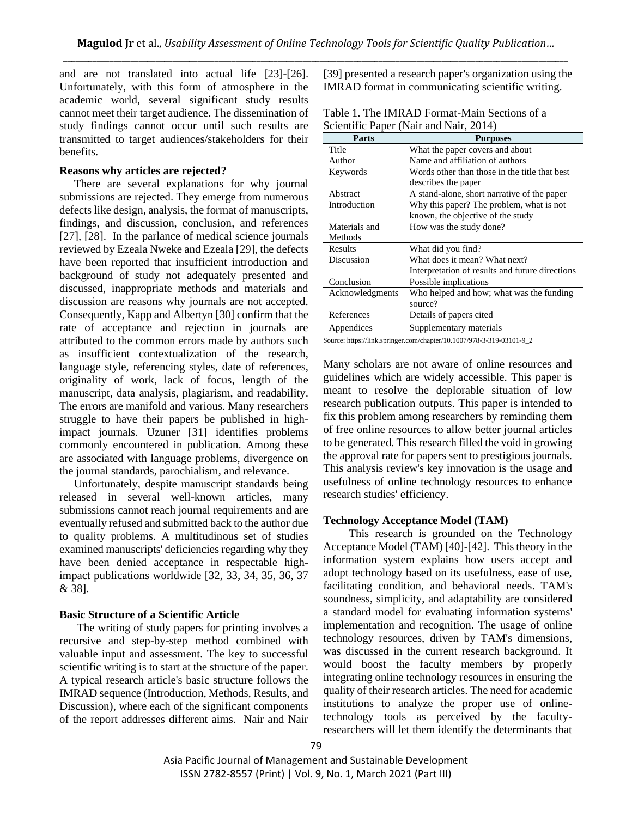and are not translated into actual life [23]-[26]. Unfortunately, with this form of atmosphere in the academic world, several significant study results cannot meet their target audience. The dissemination of study findings cannot occur until such results are transmitted to target audiences/stakeholders for their benefits.

#### **Reasons why articles are rejected?**

There are several explanations for why journal submissions are rejected. They emerge from numerous defects like design, analysis, the format of manuscripts, findings, and discussion, conclusion, and references [27], [28]. In the parlance of medical science journals reviewed by Ezeala Nweke and Ezeala [29], the defects have been reported that insufficient introduction and background of study not adequately presented and discussed, inappropriate methods and materials and discussion are reasons why journals are not accepted. Consequently, Kapp and Albertyn [30] confirm that the rate of acceptance and rejection in journals are attributed to the common errors made by authors such as insufficient contextualization of the research, language style, referencing styles, date of references, originality of work, lack of focus, length of the manuscript, data analysis, plagiarism, and readability. The errors are manifold and various. Many researchers struggle to have their papers be published in highimpact journals. Uzuner [31] identifies problems commonly encountered in publication. Among these are associated with language problems, divergence on the journal standards, parochialism, and relevance.

Unfortunately, despite manuscript standards being released in several well-known articles, many submissions cannot reach journal requirements and are eventually refused and submitted back to the author due to quality problems. A multitudinous set of studies examined manuscripts' deficiencies regarding why they have been denied acceptance in respectable highimpact publications worldwide [32, 33, 34, 35, 36, 37 & 38].

# **Basic Structure of a Scientific Article**

The writing of study papers for printing involves a recursive and step-by-step method combined with valuable input and assessment. The key to successful scientific writing is to start at the structure of the paper. A typical research article's basic structure follows the IMRAD sequence (Introduction, Methods, Results, and Discussion), where each of the significant components of the report addresses different aims. Nair and Nair

[39] presented a research paper's organization using the IMRAD format in communicating scientific writing.

| Table 1. The IMRAD Format-Main Sections of a |  |
|----------------------------------------------|--|
| Scientific Paper (Nair and Nair, 2014)       |  |

| <b>Parts</b>    | <b>Purposes</b>                                                       |
|-----------------|-----------------------------------------------------------------------|
| Title           | What the paper covers and about                                       |
| Author          | Name and affiliation of authors                                       |
| Keywords        | Words other than those in the title that best                         |
|                 | describes the paper                                                   |
| Abstract        | A stand-alone, short narrative of the paper                           |
| Introduction    | Why this paper? The problem, what is not                              |
|                 | known, the objective of the study                                     |
| Materials and   | How was the study done?                                               |
| Methods         |                                                                       |
| Results         | What did you find?                                                    |
| Discussion      | What does it mean? What next?                                         |
|                 | Interpretation of results and future directions                       |
| Conclusion      | Possible implications                                                 |
| Acknowledgments | Who helped and how; what was the funding                              |
|                 | source?                                                               |
| References      | Details of papers cited.                                              |
| Appendices      | Supplementary materials                                               |
|                 | Source: https://link.springer.com/chapter/10.1007/978-3-319-03101-9_2 |

Many scholars are not aware of online resources and guidelines which are widely accessible. This paper is meant to resolve the deplorable situation of low research publication outputs. This paper is intended to fix this problem among researchers by reminding them of free online resources to allow better journal articles to be generated. This research filled the void in growing the approval rate for papers sent to prestigious journals. This analysis review's key innovation is the usage and usefulness of online technology resources to enhance research studies' efficiency.

#### **Technology Acceptance Model (TAM)**

 This research is grounded on the Technology Acceptance Model (TAM) [40]-[42]. This theory in the information system explains how users accept and adopt technology based on its usefulness, ease of use, facilitating condition, and behavioral needs. TAM's soundness, simplicity, and adaptability are considered a standard model for evaluating information systems' implementation and recognition. The usage of online technology resources, driven by TAM's dimensions, was discussed in the current research background. It would boost the faculty members by properly integrating online technology resources in ensuring the quality of their research articles. The need for academic institutions to analyze the proper use of onlinetechnology tools as perceived by the facultyresearchers will let them identify the determinants that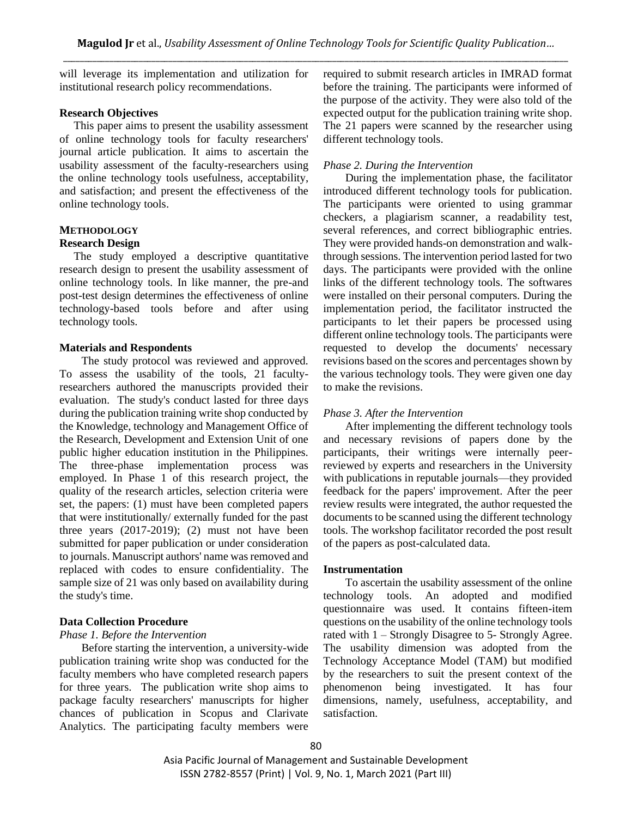will leverage its implementation and utilization for institutional research policy recommendations.

# **Research Objectives**

 This paper aims to present the usability assessment of online technology tools for faculty researchers' journal article publication. It aims to ascertain the usability assessment of the faculty-researchers using the online technology tools usefulness, acceptability, and satisfaction; and present the effectiveness of the online technology tools.

#### **METHODOLOGY Research Design**

# The study employed a descriptive quantitative

research design to present the usability assessment of online technology tools. In like manner, the pre-and post-test design determines the effectiveness of online technology-based tools before and after using technology tools.

#### **Materials and Respondents**

The study protocol was reviewed and approved. To assess the usability of the tools, 21 facultyresearchers authored the manuscripts provided their evaluation. The study's conduct lasted for three days during the publication training write shop conducted by the Knowledge, technology and Management Office of the Research, Development and Extension Unit of one public higher education institution in the Philippines. The three-phase implementation process was employed. In Phase 1 of this research project, the quality of the research articles, selection criteria were set, the papers: (1) must have been completed papers that were institutionally/ externally funded for the past three years (2017-2019); (2) must not have been submitted for paper publication or under consideration to journals. Manuscript authors' name was removed and replaced with codes to ensure confidentiality. The sample size of 21 was only based on availability during the study's time.

#### **Data Collection Procedure**

#### *Phase 1. Before the Intervention*

Before starting the intervention, a university-wide publication training write shop was conducted for the faculty members who have completed research papers for three years. The publication write shop aims to package faculty researchers' manuscripts for higher chances of publication in Scopus and Clarivate Analytics. The participating faculty members were required to submit research articles in IMRAD format before the training. The participants were informed of the purpose of the activity. They were also told of the expected output for the publication training write shop. The 21 papers were scanned by the researcher using different technology tools.

# *Phase 2. During the Intervention*

During the implementation phase, the facilitator introduced different technology tools for publication. The participants were oriented to using grammar checkers, a plagiarism scanner, a readability test, several references, and correct bibliographic entries. They were provided hands-on demonstration and walkthrough sessions. The intervention period lasted for two days. The participants were provided with the online links of the different technology tools. The softwares were installed on their personal computers. During the implementation period, the facilitator instructed the participants to let their papers be processed using different online technology tools. The participants were requested to develop the documents' necessary revisions based on the scores and percentages shown by the various technology tools. They were given one day to make the revisions.

#### *Phase 3. After the Intervention*

After implementing the different technology tools and necessary revisions of papers done by the participants, their writings were internally peerreviewed by experts and researchers in the University with publications in reputable journals—they provided feedback for the papers' improvement. After the peer review results were integrated, the author requested the documents to be scanned using the different technology tools. The workshop facilitator recorded the post result of the papers as post-calculated data.

#### **Instrumentation**

To ascertain the usability assessment of the online technology tools. An adopted and modified questionnaire was used. It contains fifteen-item questions on the usability of the online technology tools rated with 1 – Strongly Disagree to 5- Strongly Agree. The usability dimension was adopted from the Technology Acceptance Model (TAM) but modified by the researchers to suit the present context of the phenomenon being investigated. It has four dimensions, namely, usefulness, acceptability, and satisfaction.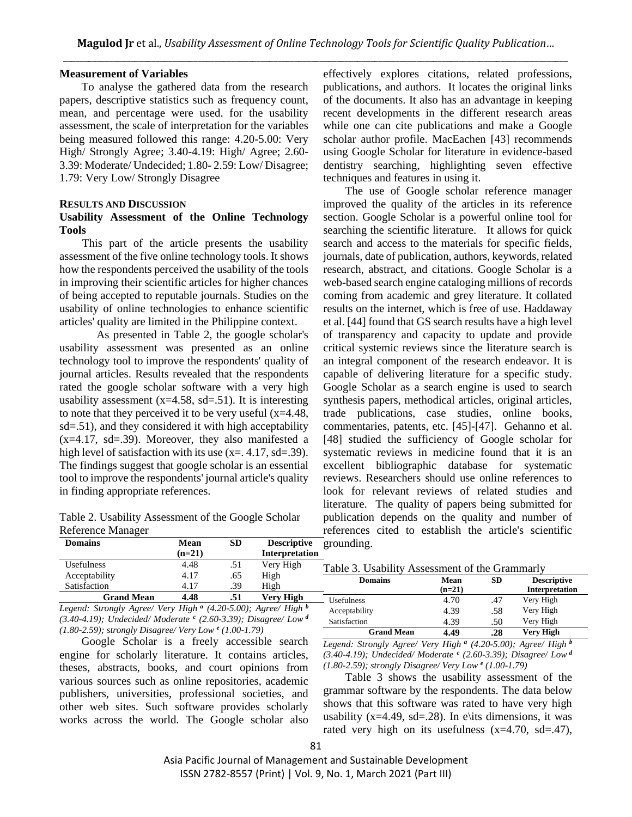#### **Measurement of Variables**

To analyse the gathered data from the research papers, descriptive statistics such as frequency count, mean, and percentage were used. for the usability assessment, the scale of interpretation for the variables being measured followed this range: 4.20-5.00: Very High/ Strongly Agree; 3.40-4.19: High/ Agree; 2.60- 3.39: Moderate/ Undecided; 1.80- 2.59: Low/ Disagree; 1.79: Very Low/ Strongly Disagree

#### **RESULTS AND DISCUSSION**

#### **Usability Assessment of the Online Technology Tools**

 This part of the article presents the usability assessment of the five online technology tools. It shows how the respondents perceived the usability of the tools in improving their scientific articles for higher chances of being accepted to reputable journals. Studies on the usability of online technologies to enhance scientific articles' quality are limited in the Philippine context.

As presented in Table 2, the google scholar's usability assessment was presented as an online technology tool to improve the respondents' quality of journal articles. Results revealed that the respondents rated the google scholar software with a very high usability assessment  $(x=4.58, sd=.51)$ . It is interesting to note that they perceived it to be very useful  $(x=4.48,$ sd=.51), and they considered it with high acceptability  $(x=4.17, sd=.39)$ . Moreover, they also manifested a high level of satisfaction with its use  $(x=.4.17, sd=.39)$ . The findings suggest that google scholar is an essential tool to improve the respondents' journal article's quality in finding appropriate references.

Table 2. Usability Assessment of the Google Scholar Reference Manager

effectively explores citations, related professions, publications, and authors. It locates the original links of the documents. It also has an advantage in keeping recent developments in the different research areas while one can cite publications and make a Google scholar author profile. MacEachen [43] recommends using Google Scholar for literature in evidence-based dentistry searching, highlighting seven effective techniques and features in using it.

The use of Google scholar reference manager improved the quality of the articles in its reference section. Google Scholar is a powerful online tool for searching the scientific literature. It allows for quick search and access to the materials for specific fields, journals, date of publication, authors, keywords, related research, abstract, and citations. Google Scholar is a web-based search engine cataloging millions of records coming from academic and grey literature. It collated results on the internet, which is free of use. Haddaway et al. [44] found that GS search results have a high level of transparency and capacity to update and provide critical systemic reviews since the literature search is an integral component of the research endeavor. It is capable of delivering literature for a specific study. Google Scholar as a search engine is used to search synthesis papers, methodical articles, original articles, trade publications, case studies, online books, commentaries, patents, etc. [45]-[47]. Gehanno et al. [48] studied the sufficiency of Google scholar for systematic reviews in medicine found that it is an excellent bibliographic database for systematic reviews. Researchers should use online references to look for relevant reviews of related studies and literature. The quality of papers being submitted for publication depends on the quality and number of references cited to establish the article's scientific grounding.

| <b>Domains</b>    | Mean     | <b>SD</b> | <b>Descriptive</b>    | g |
|-------------------|----------|-----------|-----------------------|---|
|                   | $(n=21)$ |           | <b>Interpretation</b> |   |
| <b>Usefulness</b> | 4.48     | .51       | Very High             | т |
| Acceptability     | 4.17     | .65       | High                  |   |
| Satisfaction      | 4.17     | .39       | High                  |   |
| <b>Grand Mean</b> | 4.48     | .51       | <b>Very High</b>      |   |

*Legend: Strongly Agree/ Very High <sup>a</sup> (4.20-5.00); Agree/ High <sup>b</sup> (3.40-4.19); Undecided/ Moderate <sup>c</sup> (2.60-3.39); Disagree/ Low <sup>d</sup> (1.80-2.59); strongly Disagree/ Very Low <sup>e</sup> (1.00-1.79)* 

Google Scholar is a freely accessible search engine for scholarly literature. It contains articles, theses, abstracts, books, and court opinions from various sources such as online repositories, academic publishers, universities, professional societies, and other web sites. Such software provides scholarly works across the world. The Google scholar also

| <b>Domains</b>    | Mean     | SD  | <b>Descriptive</b>    |
|-------------------|----------|-----|-----------------------|
|                   | $(n=21)$ |     | <b>Interpretation</b> |
| <b>Usefulness</b> | 4.70     | .47 | Very High             |
| Acceptability     | 4.39     | .58 | Very High             |
| Satisfaction      | 4.39     | .50 | Very High             |
| <b>Grand Mean</b> | 4.49     | .28 | Very High             |

*Legend: Strongly Agree/ Very High <sup>a</sup> (4.20-5.00); Agree/ High <sup>b</sup> (3.40-4.19); Undecided/ Moderate <sup>c</sup> (2.60-3.39); Disagree/ Low <sup>d</sup> (1.80-2.59); strongly Disagree/ Very Low <sup>e</sup> (1.00-1.79)* 

Table 3 shows the usability assessment of the grammar software by the respondents. The data below shows that this software was rated to have very high usability ( $x=4.49$ ,  $sd=.28$ ). In e\its dimensions, it was rated very high on its usefulness  $(x=4.70, sd=.47)$ ,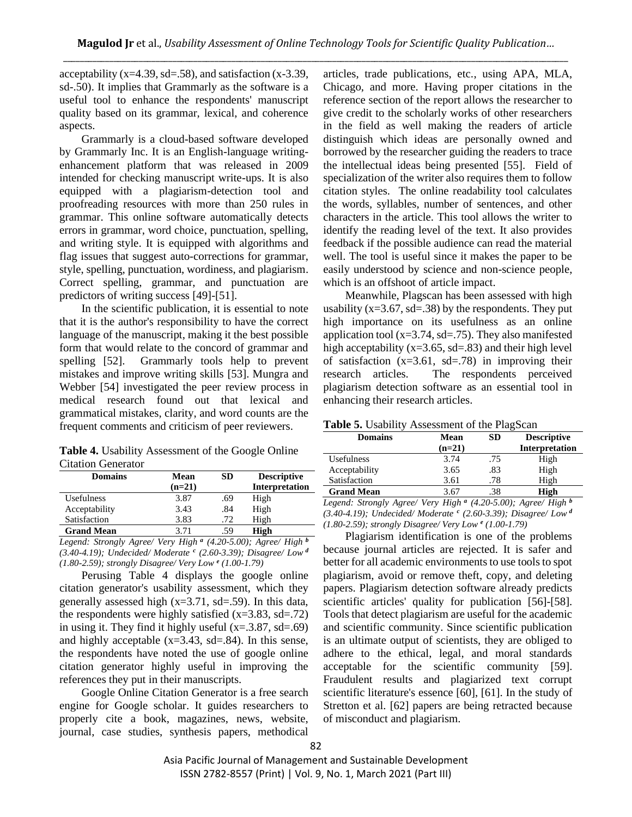acceptability ( $x=4.39$ ,  $sd=.58$ ), and satisfaction ( $x=3.39$ , sd-.50). It implies that Grammarly as the software is a useful tool to enhance the respondents' manuscript quality based on its grammar, lexical, and coherence aspects.

Grammarly is a cloud-based software developed by Grammarly Inc. It is an English-language writingenhancement platform that was released in 2009 intended for checking manuscript write-ups. It is also equipped with a plagiarism-detection tool and proofreading resources with more than 250 rules in grammar. This online software automatically detects errors in grammar, word choice, punctuation, spelling, and writing style. It is equipped with algorithms and flag issues that suggest auto-corrections for grammar, style, spelling, punctuation, wordiness, and plagiarism. Correct spelling, grammar, and punctuation are predictors of writing success [49]-[51].

In the scientific publication, it is essential to note that it is the author's responsibility to have the correct language of the manuscript, making it the best possible form that would relate to the concord of grammar and spelling [52]. Grammarly tools help to prevent mistakes and improve writing skills [53]. Mungra and Webber [54] investigated the peer review process in medical research found out that lexical and grammatical mistakes, clarity, and word counts are the frequent comments and criticism of peer reviewers.

**Table 4.** Usability Assessment of the Google Online Citation Generator

| <b>Domains</b>    | Mean     | SD. | <b>Descriptive</b> |
|-------------------|----------|-----|--------------------|
|                   | $(n=21)$ |     | Interpretation     |
| Usefulness        | 3.87     | .69 | High               |
| Acceptability     | 3.43     | .84 | High               |
| Satisfaction      | 3.83     | .72 | High               |
| <b>Grand Mean</b> | 3.71     | .59 | High               |

*Legend: Strongly Agree/ Very High <sup>a</sup> (4.20-5.00); Agree/ High <sup>b</sup> (3.40-4.19); Undecided/ Moderate <sup>c</sup> (2.60-3.39); Disagree/ Low <sup>d</sup> (1.80-2.59); strongly Disagree/ Very Low <sup>e</sup> (1.00-1.79)* 

Perusing Table 4 displays the google online citation generator's usability assessment, which they generally assessed high (x=3.71, sd=.59). In this data, the respondents were highly satisfied  $(x=3.83, sd=.72)$ in using it. They find it highly useful  $(x=3.87, sd=.69)$ and highly acceptable  $(x=3.43, sd=.84)$ . In this sense, the respondents have noted the use of google online citation generator highly useful in improving the references they put in their manuscripts.

Google Online Citation Generator is a free search engine for Google scholar. It guides researchers to properly cite a book, magazines, news, website, journal, case studies, synthesis papers, methodical articles, trade publications, etc., using APA, MLA, Chicago, and more. Having proper citations in the reference section of the report allows the researcher to give credit to the scholarly works of other researchers in the field as well making the readers of article distinguish which ideas are personally owned and borrowed by the researcher guiding the readers to trace the intellectual ideas being presented [55]. Field of specialization of the writer also requires them to follow citation styles. The online readability tool calculates the words, syllables, number of sentences, and other characters in the article. This tool allows the writer to identify the reading level of the text. It also provides feedback if the possible audience can read the material well. The tool is useful since it makes the paper to be easily understood by science and non-science people, which is an offshoot of article impact.

Meanwhile, Plagscan has been assessed with high usability ( $x=3.67$ ,  $sd=.38$ ) by the respondents. They put high importance on its usefulness as an online application tool ( $x=3.74$ ,  $sd=.75$ ). They also manifested high acceptability ( $x=3.65$ ,  $sd=.83$ ) and their high level of satisfaction  $(x=3.61, sd=.78)$  in improving their research articles. The respondents perceived plagiarism detection software as an essential tool in enhancing their research articles.

|  | Table 5. Usability Assessment of the PlagScan |  |
|--|-----------------------------------------------|--|
|  |                                               |  |

| <b>Domains</b>    | Mean     | SD. | <b>Descriptive</b>    |
|-------------------|----------|-----|-----------------------|
|                   | $(n=21)$ |     | <b>Interpretation</b> |
| Usefulness        | 3.74     | .75 | High                  |
| Acceptability     | 3.65     | .83 | High                  |
| Satisfaction      | 3.61     | .78 | High                  |
| <b>Grand Mean</b> | 3.67     | .38 | High                  |

*Legend: Strongly Agree/ Very High <sup>a</sup> (4.20-5.00); Agree/ High <sup>b</sup> (3.40-4.19); Undecided/ Moderate <sup>c</sup> (2.60-3.39); Disagree/ Low <sup>d</sup> (1.80-2.59); strongly Disagree/ Very Low <sup>e</sup> (1.00-1.79)* 

Plagiarism identification is one of the problems because journal articles are rejected. It is safer and better for all academic environments to use tools to spot plagiarism, avoid or remove theft, copy, and deleting papers. Plagiarism detection software already predicts scientific articles' quality for publication [56]-[58]. Tools that detect plagiarism are useful for the academic and scientific community. Since scientific publication is an ultimate output of scientists, they are obliged to adhere to the ethical, legal, and moral standards acceptable for the scientific community [59]. Fraudulent results and plagiarized text corrupt scientific literature's essence [60], [61]. In the study of Stretton et al. [62] papers are being retracted because of misconduct and plagiarism.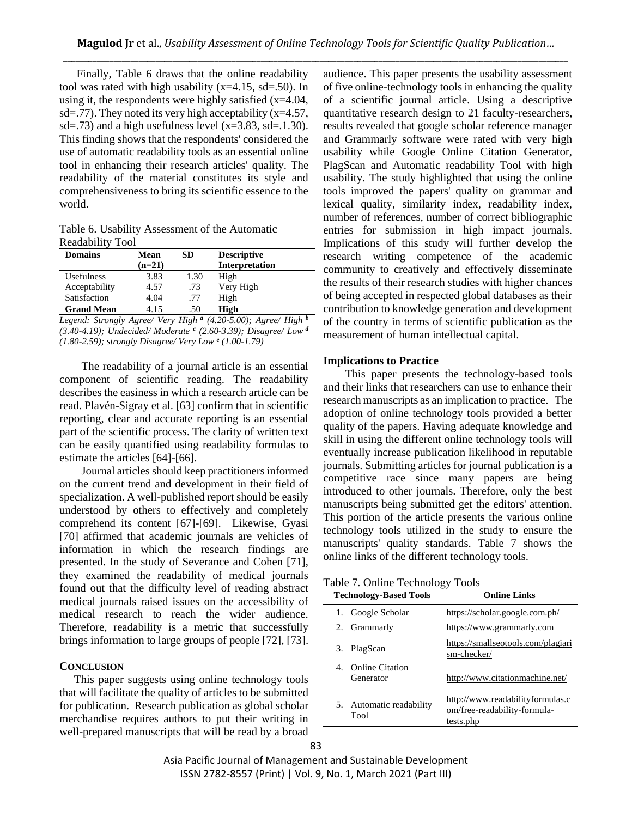Finally, Table 6 draws that the online readability tool was rated with high usability  $(x=4.15, sd=.50)$ . In using it, the respondents were highly satisfied  $(x=4.04,$ sd=.77). They noted its very high acceptability  $(x=4.57)$ , sd=.73) and a high usefulness level  $(x=3.83, sd=1.30)$ . This finding shows that the respondents' considered the use of automatic readability tools as an essential online tool in enhancing their research articles' quality. The readability of the material constitutes its style and comprehensiveness to bring its scientific essence to the world.

Table 6. Usability Assessment of the Automatic Readability Tool

| <b>Domains</b>    | Mean     | <b>SD</b> | <b>Descriptive</b> |
|-------------------|----------|-----------|--------------------|
|                   | $(n=21)$ |           | Interpretation     |
| <b>Usefulness</b> | 3.83     | 1.30      | High               |
| Acceptability     | 4.57     | .73       | Very High          |
| Satisfaction      | 4.04     | .77       | High               |
| <b>Grand Mean</b> | 4.15     | .50       | High               |

*Legend: Strongly Agree/ Very High <sup>a</sup> (4.20-5.00); Agree/ High <sup>b</sup> (3.40-4.19); Undecided/ Moderate <sup>c</sup> (2.60-3.39); Disagree/ Low <sup>d</sup> (1.80-2.59); strongly Disagree/ Very Low <sup>e</sup> (1.00-1.79)* 

The readability of a journal article is an essential component of scientific reading. The readability describes the easiness in which a research article can be read. Plavén-Sigray et al. [63] confirm that in scientific reporting, clear and accurate reporting is an essential part of the scientific process. The clarity of written text can be easily quantified using readability formulas to estimate the articles [64]-[66].

Journal articles should keep practitioners informed on the current trend and development in their field of specialization. A well-published report should be easily understood by others to effectively and completely comprehend its content [67]-[69]. Likewise, Gyasi [70] affirmed that academic journals are vehicles of information in which the research findings are presented. In the study of Severance and Cohen [71], they examined the readability of medical journals found out that the difficulty level of reading abstract medical journals raised issues on the accessibility of medical research to reach the wider audience. Therefore, readability is a metric that successfully brings information to large groups of people [72], [73].

#### **CONCLUSION**

This paper suggests using online technology tools that will facilitate the quality of articles to be submitted for publication. Research publication as global scholar merchandise requires authors to put their writing in well-prepared manuscripts that will be read by a broad

audience. This paper presents the usability assessment of five online-technology tools in enhancing the quality of a scientific journal article. Using a descriptive quantitative research design to 21 faculty-researchers, results revealed that google scholar reference manager and Grammarly software were rated with very high usability while Google Online Citation Generator, PlagScan and Automatic readability Tool with high usability. The study highlighted that using the online tools improved the papers' quality on grammar and lexical quality, similarity index, readability index, number of references, number of correct bibliographic entries for submission in high impact journals. Implications of this study will further develop the research writing competence of the academic community to creatively and effectively disseminate the results of their research studies with higher chances of being accepted in respected global databases as their contribution to knowledge generation and development of the country in terms of scientific publication as the measurement of human intellectual capital.

#### **Implications to Practice**

This paper presents the technology-based tools and their links that researchers can use to enhance their research manuscripts as an implication to practice. The adoption of online technology tools provided a better quality of the papers. Having adequate knowledge and skill in using the different online technology tools will eventually increase publication likelihood in reputable journals. Submitting articles for journal publication is a competitive race since many papers are being introduced to other journals. Therefore, only the best manuscripts being submitted get the editors' attention. This portion of the article presents the various online technology tools utilized in the study to ensure the manuscripts' quality standards. Table 7 shows the online links of the different technology tools.

## Table 7. Online Technology Tools

| <b>Technology-Based Tools</b>             | <b>Online Links</b>                                                           |
|-------------------------------------------|-------------------------------------------------------------------------------|
| Google Scholar<br>1.                      | https://scholar.google.com.ph/                                                |
| Grammarly<br>2.                           | https://www.grammarly.com                                                     |
| PlagScan<br>3.                            | https://smallseotools.com/plagiari<br>sm-checker/                             |
| <b>Online Citation</b><br>4.<br>Generator | http://www.citationmachine.net/                                               |
| 5. Automatic readability<br>Tool          | http://www.readabilityformulas.c<br>om/free-readability-formula-<br>tests.php |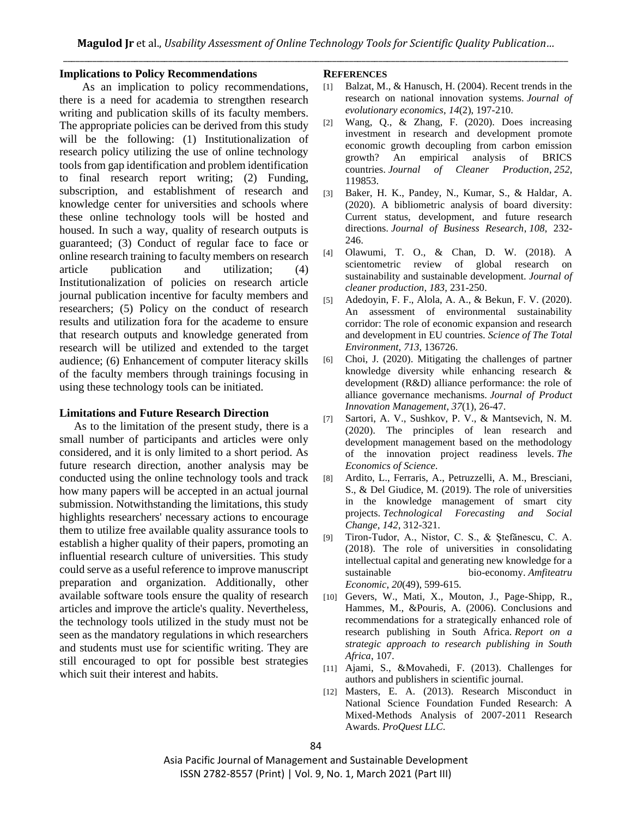#### **Implications to Policy Recommendations**

 As an implication to policy recommendations, there is a need for academia to strengthen research writing and publication skills of its faculty members. The appropriate policies can be derived from this study will be the following: (1) Institutionalization of research policy utilizing the use of online technology tools from gap identification and problem identification to final research report writing; (2) Funding, subscription, and establishment of research and knowledge center for universities and schools where these online technology tools will be hosted and housed. In such a way, quality of research outputs is guaranteed; (3) Conduct of regular face to face or online research training to faculty members on research article publication and utilization; (4) Institutionalization of policies on research article journal publication incentive for faculty members and researchers; (5) Policy on the conduct of research results and utilization fora for the academe to ensure that research outputs and knowledge generated from research will be utilized and extended to the target audience; (6) Enhancement of computer literacy skills of the faculty members through trainings focusing in using these technology tools can be initiated.

#### **Limitations and Future Research Direction**

As to the limitation of the present study, there is a small number of participants and articles were only considered, and it is only limited to a short period. As future research direction, another analysis may be conducted using the online technology tools and track how many papers will be accepted in an actual journal submission. Notwithstanding the limitations, this study highlights researchers' necessary actions to encourage them to utilize free available quality assurance tools to establish a higher quality of their papers, promoting an influential research culture of universities. This study could serve as a useful reference to improve manuscript preparation and organization. Additionally, other available software tools ensure the quality of research articles and improve the article's quality. Nevertheless, the technology tools utilized in the study must not be seen as the mandatory regulations in which researchers and students must use for scientific writing. They are still encouraged to opt for possible best strategies which suit their interest and habits.

#### **REFERENCES**

- [1] Balzat, M., & Hanusch, H. (2004). Recent trends in the research on national innovation systems. *Journal of evolutionary economics*, *14*(2), 197-210.
- [2] Wang, Q., & Zhang, F. (2020). Does increasing investment in research and development promote economic growth decoupling from carbon emission growth? An empirical analysis of BRICS countries. *Journal of Cleaner Production*, *252*, 119853.
- [3] Baker, H. K., Pandey, N., Kumar, S., & Haldar, A. (2020). A bibliometric analysis of board diversity: Current status, development, and future research directions. *Journal of Business Research*, *108*, 232- 246.
- [4] Olawumi, T. O., & Chan, D. W. (2018). A scientometric review of global research on sustainability and sustainable development. *Journal of cleaner production*, *183*, 231-250.
- [5] Adedoyin, F. F., Alola, A. A., & Bekun, F. V. (2020). An assessment of environmental sustainability corridor: The role of economic expansion and research and development in EU countries. *Science of The Total Environment*, *713*, 136726.
- [6] Choi, J. (2020). Mitigating the challenges of partner knowledge diversity while enhancing research & development (R&D) alliance performance: the role of alliance governance mechanisms. *Journal of Product Innovation Management*, *37*(1), 26-47.
- [7] Sartori, A. V., Sushkov, P. V., & Mantsevich, N. M. (2020). The principles of lean research and development management based on the methodology of the innovation project readiness levels. *The Economics of Science*.
- [8] Ardito, L., Ferraris, A., Petruzzelli, A. M., Bresciani, S., & Del Giudice, M. (2019). The role of universities in the knowledge management of smart city projects. *Technological Forecasting and Social Change*, *142*, 312-321.
- [9] Tiron-Tudor, A., Nistor, C. S., & Ştefănescu, C. A. (2018). The role of universities in consolidating intellectual capital and generating new knowledge for a sustainable bio-economy. *Amfiteatru Economic*, *20*(49), 599-615.
- [10] Gevers, W., Mati, X., Mouton, J., Page-Shipp, R., Hammes, M., &Pouris, A. (2006). Conclusions and recommendations for a strategically enhanced role of research publishing in South Africa. *Report on a strategic approach to research publishing in South Africa*, 107.
- [11] Ajami, S., &Movahedi, F. (2013). Challenges for authors and publishers in scientific journal.
- [12] Masters, E. A. (2013). Research Misconduct in National Science Foundation Funded Research: A Mixed-Methods Analysis of 2007-2011 Research Awards. *ProQuest LLC*.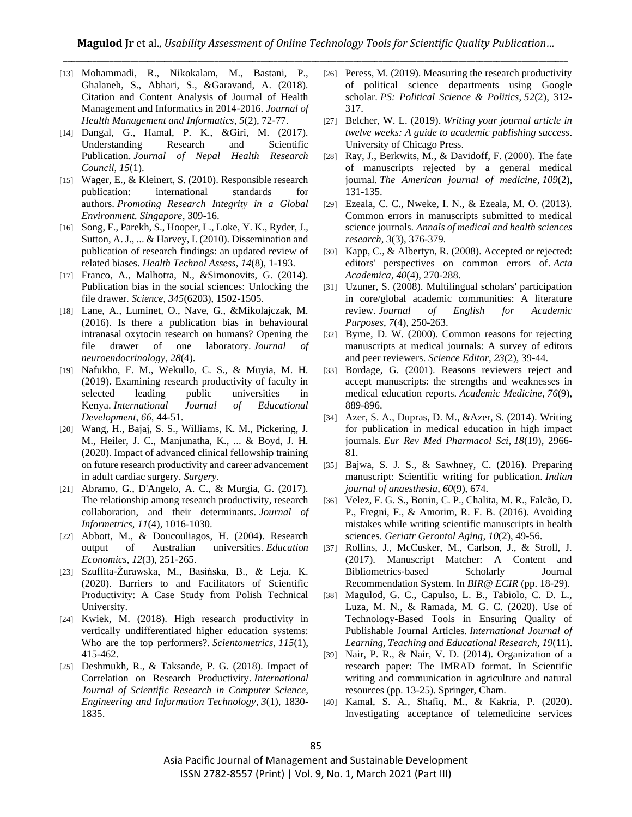- [13] Mohammadi, R., Nikokalam, M., Bastani, P., Ghalaneh, S., Abhari, S., &Garavand, A. (2018). Citation and Content Analysis of Journal of Health Management and Informatics in 2014-2016. *Journal of Health Management and Informatics*, *5*(2), 72-77.
- [14] Dangal, G., Hamal, P. K., &Giri, M. (2017). Understanding Research and Scientific Publication. *Journal of Nepal Health Research Council*, *15*(1).
- [15] Wager, E., & Kleinert, S. (2010). Responsible research publication: international standards for authors. *Promoting Research Integrity in a Global Environment. Singapore*, 309-16.
- [16] Song, F., Parekh, S., Hooper, L., Loke, Y. K., Ryder, J., Sutton, A. J., ... & Harvey, I. (2010). Dissemination and publication of research findings: an updated review of related biases. *Health Technol Assess*, *14*(8), 1-193.
- [17] Franco, A., Malhotra, N., &Simonovits, G. (2014). Publication bias in the social sciences: Unlocking the file drawer. *Science*, *345*(6203), 1502-1505.
- [18] Lane, A., Luminet, O., Nave, G., &Mikolajczak, M. (2016). Is there a publication bias in behavioural intranasal oxytocin research on humans? Opening the file drawer of one laboratory. *Journal of neuroendocrinology*, *28*(4).
- [19] Nafukho, F. M., Wekullo, C. S., & Muyia, M. H. (2019). Examining research productivity of faculty in selected leading public universities in Kenya. *International Journal of Educational Development*, *66*, 44-51.
- [20] Wang, H., Bajaj, S. S., Williams, K. M., Pickering, J. M., Heiler, J. C., Manjunatha, K., ... & Boyd, J. H. (2020). Impact of advanced clinical fellowship training on future research productivity and career advancement in adult cardiac surgery. *Surgery*.
- [21] Abramo, G., D'Angelo, A. C., & Murgia, G. (2017). The relationship among research productivity, research collaboration, and their determinants. *Journal of Informetrics*, *11*(4), 1016-1030.
- [22] Abbott, M., & Doucouliagos, H. (2004). Research output of Australian universities. *Education Economics*, *12*(3), 251-265.
- [23] Szuflita-Żurawska, M., Basińska, B., & Leja, K. (2020). Barriers to and Facilitators of Scientific Productivity: A Case Study from Polish Technical University.
- [24] Kwiek, M. (2018). High research productivity in vertically undifferentiated higher education systems: Who are the top performers?. *Scientometrics*, *115*(1), 415-462.
- [25] Deshmukh, R., & Taksande, P. G. (2018). Impact of Correlation on Research Productivity. *International Journal of Scientific Research in Computer Science, Engineering and Information Technology*, *3*(1), 1830- 1835.
- [26] Peress, M. (2019). Measuring the research productivity of political science departments using Google scholar. *PS: Political Science & Politics*, *52*(2), 312- 317.
- [27] Belcher, W. L. (2019). *Writing your journal article in twelve weeks: A guide to academic publishing success*. University of Chicago Press.
- [28] Ray, J., Berkwits, M., & Davidoff, F. (2000). The fate of manuscripts rejected by a general medical journal. *The American journal of medicine*, *109*(2), 131-135.
- [29] Ezeala, C. C., Nweke, I. N., & Ezeala, M. O. (2013). Common errors in manuscripts submitted to medical science journals. *Annals of medical and health sciences research*, *3*(3), 376-379.
- [30] Kapp, C., & Albertyn, R. (2008). Accepted or rejected: editors' perspectives on common errors of. *Acta Academica*, *40*(4), 270-288.
- [31] Uzuner, S. (2008). Multilingual scholars' participation in core/global academic communities: A literature review. *Journal of English for Academic Purposes*, *7*(4), 250-263.
- [32] Byrne, D. W. (2000). Common reasons for rejecting manuscripts at medical journals: A survey of editors and peer reviewers. *Science Editor*, *23*(2), 39-44.
- [33] Bordage, G. (2001). Reasons reviewers reject and accept manuscripts: the strengths and weaknesses in medical education reports. *Academic Medicine*, *76*(9), 889-896.
- [34] Azer, S. A., Dupras, D. M., &Azer, S. (2014). Writing for publication in medical education in high impact journals. *Eur Rev Med Pharmacol Sci*, *18*(19), 2966- 81.
- [35] Bajwa, S. J. S., & Sawhney, C. (2016). Preparing manuscript: Scientific writing for publication. *Indian journal of anaesthesia*, *60*(9), 674.
- [36] Velez, F. G. S., Bonin, C. P., Chalita, M. R., Falcão, D. P., Fregni, F., & Amorim, R. F. B. (2016). Avoiding mistakes while writing scientific manuscripts in health sciences. *Geriatr Gerontol Aging*, *10*(2), 49-56.
- [37] Rollins, J., McCusker, M., Carlson, J., & Stroll, J. (2017). Manuscript Matcher: A Content and Bibliometrics-based Scholarly Journal Recommendation System. In *BIR@ ECIR* (pp. 18-29).
- [38] Magulod, G. C., Capulso, L. B., Tabiolo, C. D. L., Luza, M. N., & Ramada, M. G. C. (2020). Use of Technology-Based Tools in Ensuring Quality of Publishable Journal Articles. *International Journal of Learning, Teaching and Educational Research*, *19*(11).
- [39] Nair, P. R., & Nair, V. D. (2014). Organization of a research paper: The IMRAD format. In Scientific writing and communication in agriculture and natural resources (pp. 13-25). Springer, Cham.
- [40] Kamal, S. A., Shafiq, M., & Kakria, P. (2020). Investigating acceptance of telemedicine services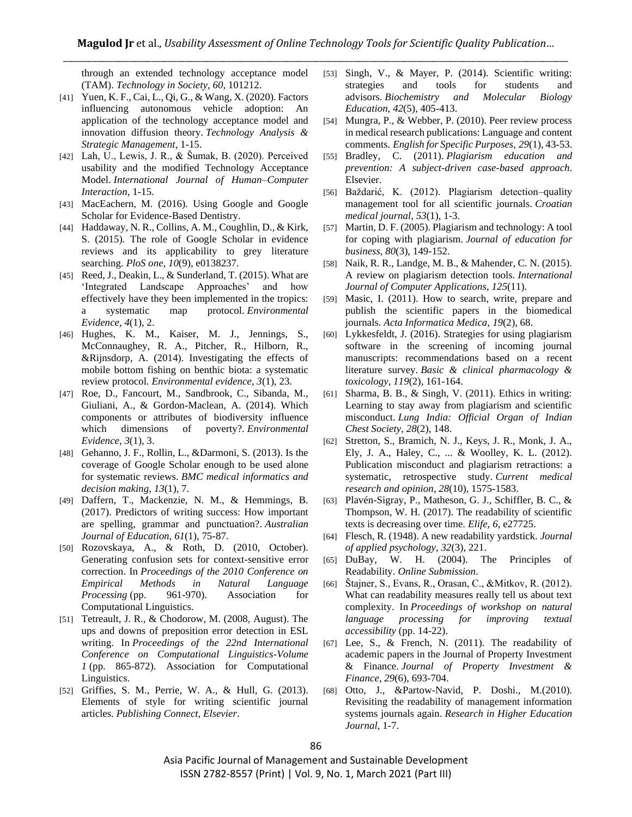through an extended technology acceptance model (TAM). *Technology in Society*, *60*, 101212.

- [41] Yuen, K. F., Cai, L., Qi, G., & Wang, X. (2020). Factors influencing autonomous vehicle adoption: An application of the technology acceptance model and innovation diffusion theory. *Technology Analysis & Strategic Management*, 1-15.
- [42] Lah, U., Lewis, J. R., & Šumak, B. (2020). Perceived usability and the modified Technology Acceptance Model. *International Journal of Human–Computer Interaction*, 1-15.
- [43] MacEachern, M. (2016). Using Google and Google Scholar for Evidence-Based Dentistry.
- [44] Haddaway, N. R., Collins, A. M., Coughlin, D., & Kirk, S. (2015). The role of Google Scholar in evidence reviews and its applicability to grey literature searching. *PloS one*, *10*(9), e0138237.
- [45] Reed, J., Deakin, L.,  $\&$  Sunderland, T. (2015). What are 'Integrated Landscape Approaches' and how effectively have they been implemented in the tropics: a systematic map protocol. *Environmental Evidence*, *4*(1), 2.
- [46] Hughes, K. M., Kaiser, M. J., Jennings, S., McConnaughey, R. A., Pitcher, R., Hilborn, R., &Rijnsdorp, A. (2014). Investigating the effects of mobile bottom fishing on benthic biota: a systematic review protocol. *Environmental evidence*, *3*(1), 23.
- [47] Roe, D., Fancourt, M., Sandbrook, C., Sibanda, M., Giuliani, A., & Gordon-Maclean, A. (2014). Which components or attributes of biodiversity influence which dimensions of poverty?. *Environmental Evidence*, *3*(1), 3.
- [48] Gehanno, J. F., Rollin, L., &Darmoni, S. (2013). Is the coverage of Google Scholar enough to be used alone for systematic reviews. *BMC medical informatics and decision making*, *13*(1), 7.
- [49] Daffern, T., Mackenzie, N. M., & Hemmings, B. (2017). Predictors of writing success: How important are spelling, grammar and punctuation?. *Australian Journal of Education*, *61*(1), 75-87.
- [50] Rozovskaya, A., & Roth, D. (2010, October). Generating confusion sets for context-sensitive error correction. In *Proceedings of the 2010 Conference on Empirical Methods in Natural Language Processing* (pp. 961-970). Association for Computational Linguistics.
- [51] Tetreault, J. R., & Chodorow, M. (2008, August). The ups and downs of preposition error detection in ESL writing. In *Proceedings of the 22nd International Conference on Computational Linguistics-Volume 1* (pp. 865-872). Association for Computational Linguistics.
- [52] Griffies, S. M., Perrie, W. A., & Hull, G. (2013). Elements of style for writing scientific journal articles. *Publishing Connect, Elsevier*.
- [53] Singh, V., & Mayer, P. (2014). Scientific writing: strategies and tools for students and advisors. *Biochemistry and Molecular Biology Education*, *42*(5), 405-413.
- [54] Mungra, P., & Webber, P. (2010). Peer review process in medical research publications: Language and content comments. *English for Specific Purposes*, *29*(1), 43-53.
- [55] Bradley, C. (2011). *Plagiarism education and prevention: A subject-driven case-based approach*. Elsevier.
- [56] Baždarić, K. (2012). Plagiarism detection–quality management tool for all scientific journals. *Croatian medical journal*, *53*(1), 1-3.
- [57] Martin, D. F. (2005). Plagiarism and technology: A tool for coping with plagiarism. *Journal of education for business*, *80*(3), 149-152.
- [58] Naik, R. R., Landge, M. B., & Mahender, C. N. (2015). A review on plagiarism detection tools. *International Journal of Computer Applications*, *125*(11).
- [59] Masic, I. (2011). How to search, write, prepare and publish the scientific papers in the biomedical journals. *Acta Informatica Medica*, *19*(2), 68.
- [60] Lykkesfeldt, J. (2016). Strategies for using plagiarism software in the screening of incoming journal manuscripts: recommendations based on a recent literature survey. *Basic & clinical pharmacology & toxicology*, *119*(2), 161-164.
- [61] Sharma, B. B., & Singh, V. (2011). Ethics in writing: Learning to stay away from plagiarism and scientific misconduct. *Lung India: Official Organ of Indian Chest Society*, *28*(2), 148.
- [62] Stretton, S., Bramich, N. J., Keys, J. R., Monk, J. A., Ely, J. A., Haley, C., ... & Woolley, K. L. (2012). Publication misconduct and plagiarism retractions: a systematic, retrospective study. *Current medical research and opinion*, *28*(10), 1575-1583.
- [63] Plavén-Sigray, P., Matheson, G. J., Schiffler, B. C., & Thompson, W. H. (2017). The readability of scientific texts is decreasing over time. *Elife*, *6*, e27725.
- [64] Flesch, R. (1948). A new readability yardstick. *Journal of applied psychology*, *32*(3), 221.
- [65] DuBay, W. H. (2004). The Principles of Readability. *Online Submission*.
- [66] Štajner, S., Evans, R., Orasan, C., &Mitkov, R. (2012). What can readability measures really tell us about text complexity. In *Proceedings of workshop on natural language processing for improving textual accessibility* (pp. 14-22).
- [67] Lee, S., & French, N.  $(2011)$ . The readability of academic papers in the Journal of Property Investment & Finance. *Journal of Property Investment & Finance*, *29*(6), 693-704.
- [68] Otto, J., &Partow-Navid, P. Doshi., M.(2010). Revisiting the readability of management information systems journals again. *Research in Higher Education Journal*, 1-7.